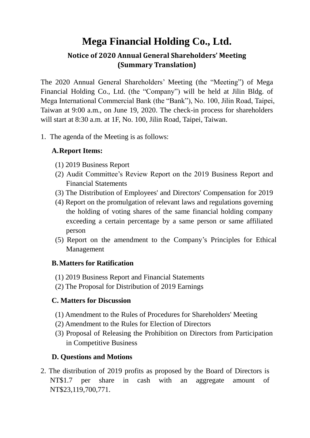# **Mega Financial Holding Co., Ltd.**

# **Notice of 2020 Annual General Shareholders' Meeting (Summary Translation)**

The 2020 Annual General Shareholders' Meeting (the "Meeting") of Mega Financial Holding Co., Ltd. (the "Company") will be held at Jilin Bldg. of Mega International Commercial Bank (the "Bank"), No. 100, Jilin Road, Taipei, Taiwan at 9:00 a.m., on June 19, 2020. The check-in process for shareholders will start at 8:30 a.m. at 1F, No. 100, Jilin Road, Taipei, Taiwan.

1. The agenda of the Meeting is as follows:

### **A.Report Items:**

- (1) 2019 Business Report
- (2) Audit Committee's Review Report on the 2019 Business Report and Financial Statements
- (3) The Distribution of Employees' and Directors' Compensation for 2019
- (4) Report on the promulgation of relevant laws and regulations governing the holding of voting shares of the same financial holding company exceeding a certain percentage by a same person or same affiliated person
- (5) Report on the amendment to the Company's Principles for Ethical Management

#### **B.Matters for Ratification**

- (1) 2019 Business Report and Financial Statements
- (2) The Proposal for Distribution of 2019 Earnings

#### **C. Matters for Discussion**

- (1) Amendment to the Rules of Procedures for Shareholders' Meeting
- (2) Amendment to the Rules for Election of Directors
- (3) Proposal of Releasing the Prohibition on Directors from Participation in Competitive Business

## **D. Questions and Motions**

2. The distribution of 2019 profits as proposed by the Board of Directors is NT\$1.7 per share in cash with an aggregate amount of NT\$23,119,700,771.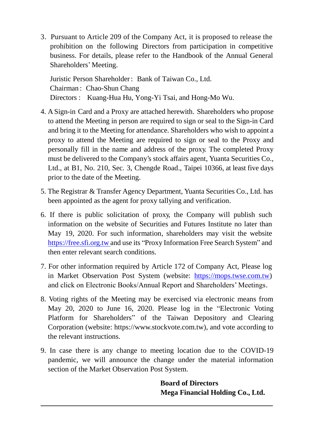3. Pursuant to Article 209 of the Company Act, it is proposed to release the prohibition on the following Directors from participation in competitive business. For details, please refer to the Handbook of the Annual General Shareholders' Meeting.

Juristic Person Shareholder: Bank of Taiwan Co., Ltd. Chairman : Chao-Shun Chang Directors : Kuang-Hua Hu, Yong-Yi Tsai, and Hong-Mo Wu.

- 4. A Sign-in Card and a Proxy are attached herewith. Shareholders who propose to attend the Meeting in person are required to sign or seal to the Sign-in Card and bring it to the Meeting for attendance. Shareholders who wish to appoint a proxy to attend the Meeting are required to sign or seal to the Proxy and personally fill in the name and address of the proxy. The completed Proxy must be delivered to the Company's stock affairs agent, Yuanta Securities Co., Ltd., at B1, No. 210, Sec. 3, Chengde Road., Taipei 10366, at least five days prior to the date of the Meeting.
- 5. The Registrar & Transfer Agency Department, Yuanta Securities Co., Ltd. has been appointed as the agent for proxy tallying and verification.
- 6. If there is public solicitation of proxy, the Company will publish such information on the website of Securities and Futures Institute no later than May 19, 2020. For such information, shareholders may visit the websit[e](https://free.sfi.org.tw/) [https://free.sfi.org.tw a](https://free.sfi.org.tw/)nd use its "Proxy Information Free Search System" and then enter relevant search conditions.
- 7. For other information required by Article 172 of Company Act, Please log in Market Observation Post System (website: [https://mops.twse.com.tw\)](https://mops.twse.com.tw/) and click on Electronic Books/Annual Report and Shareholders' Meetings.
- 8. Voting rights of the Meeting may be exercised via electronic means from May 20, 2020 to June 16, 2020. Please log in the "Electronic Voting Platform for Shareholders" of the Taiwan Depository and Clearing Corporation (website: https://www.stockvote.com.tw), and vote according to the relevant instructions.
- 9. In case there is any change to meeting location due to the COVID-19 pandemic, we will announce the change under the material information section of the Market Observation Post System.

**Board of Directors Mega Financial Holding Co., Ltd.**